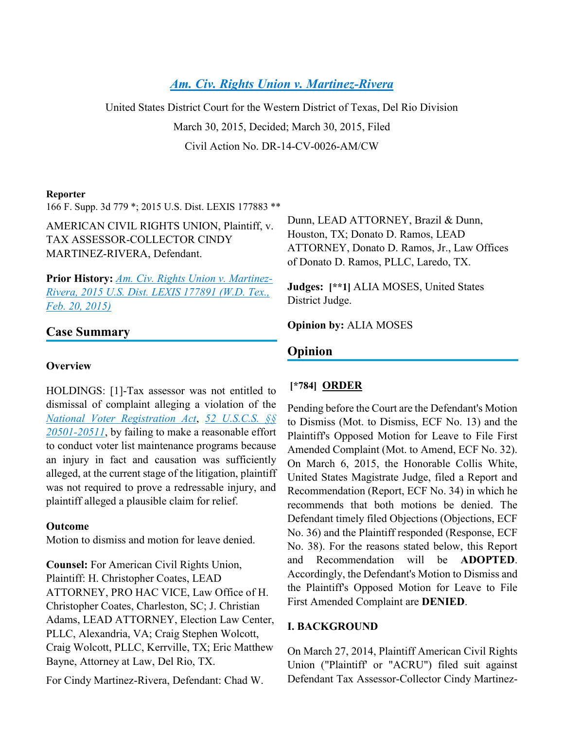# *[Am. Civ. Rights Union v. Martinez-Rivera](https://advance.lexis.com/api/document?collection=cases&id=urn:contentItem:5JRH-0RD1-F04F-C000-00000-00&context=)*

United States District Court for the Western District of Texas, Del Rio Division March 30, 2015, Decided; March 30, 2015, Filed Civil Action No. DR-14-CV-0026-AM/CW

#### **Reporter**

166 F. Supp. 3d 779 \*; 2015 U.S. Dist. LEXIS 177883 \*\*

AMERICAN CIVIL RIGHTS UNION, Plaintiff, v. TAX ASSESSOR-COLLECTOR CINDY MARTINEZ-RIVERA, Defendant.

**Prior History:** *[Am. Civ. Rights Union v. Martinez-](https://advance.lexis.com/api/document?collection=cases&id=urn:contentItem:5JRN-8VN1-F04F-C002-00000-00&context=)[Rivera, 2015 U.S. Dist. LEXIS 177891 \(W.D. Tex.,](https://advance.lexis.com/api/document?collection=cases&id=urn:contentItem:5JRN-8VN1-F04F-C002-00000-00&context=)  [Feb. 20, 2015\)](https://advance.lexis.com/api/document?collection=cases&id=urn:contentItem:5JRN-8VN1-F04F-C002-00000-00&context=)*

## **Case Summary**

### **Overview**

HOLDINGS: [1]-Tax assessor was not entitled to dismissal of complaint alleging a violation of the *[National Voter Registration Act](https://advance.lexis.com/api/document?collection=statutes-legislation&id=urn:contentItem:4YF7-GHR1-NRF4-43YP-00000-00&context=)*, *[52 U.S.C.S. §§](https://advance.lexis.com/api/document?collection=statutes-legislation&id=urn:contentItem:5D3N-F721-NRF4-4001-00000-00&context=)  [20501-20511](https://advance.lexis.com/api/document?collection=statutes-legislation&id=urn:contentItem:5D3N-F721-NRF4-4001-00000-00&context=)*, by failing to make a reasonable effort to conduct voter list maintenance programs because an injury in fact and causation was sufficiently alleged, at the current stage of the litigation, plaintiff was not required to prove a redressable injury, and plaintiff alleged a plausible claim for relief.

### **Outcome**

Motion to dismiss and motion for leave denied.

**Counsel:** For American Civil Rights Union, Plaintiff: H. Christopher Coates, LEAD ATTORNEY, PRO HAC VICE, Law Office of H. Christopher Coates, Charleston, SC; J. Christian Adams, LEAD ATTORNEY, Election Law Center, PLLC, Alexandria, VA; Craig Stephen Wolcott, Craig Wolcott, PLLC, Kerrville, TX; Eric Matthew Bayne, Attorney at Law, Del Rio, TX.

For Cindy Martinez-Rivera, Defendant: Chad W.

Dunn, LEAD ATTORNEY, Brazil & Dunn, Houston, TX; Donato D. Ramos, LEAD ATTORNEY, Donato D. Ramos, Jr., Law Offices of Donato D. Ramos, PLLC, Laredo, TX.

**Judges: [\*\*1]** ALIA MOSES, United States District Judge.

**Opinion by:** ALIA MOSES

## **Opinion**

## **[\*784] ORDER**

Pending before the Court are the Defendant's Motion to Dismiss (Mot. to Dismiss, ECF No. 13) and the Plaintiff's Opposed Motion for Leave to File First Amended Complaint (Mot. to Amend, ECF No. 32). On March 6, 2015, the Honorable Collis White, United States Magistrate Judge, filed a Report and Recommendation (Report, ECF No. 34) in which he recommends that both motions be denied. The Defendant timely filed Objections (Objections, ECF No. 36) and the Plaintiff responded (Response, ECF No. 38). For the reasons stated below, this Report and Recommendation will be **ADOPTED**. Accordingly, the Defendant's Motion to Dismiss and the Plaintiff's Opposed Motion for Leave to File First Amended Complaint are **DENIED**.

### **I. BACKGROUND**

On March 27, 2014, Plaintiff American Civil Rights Union ("Plaintiff' or "ACRU") filed suit against Defendant Tax Assessor-Collector Cindy Martinez-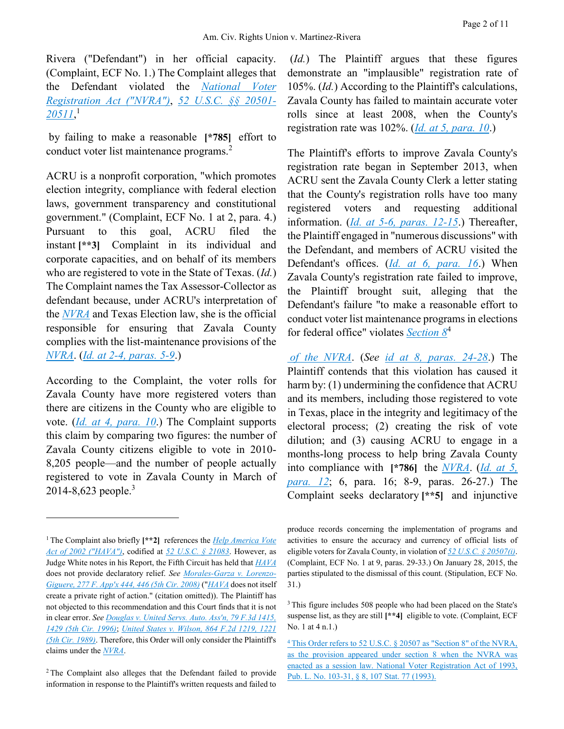Rivera ("Defendant") in her official capacity. (Complaint, ECF No. 1.) The Complaint alleges that the Defendant violated the *[National Voter](https://advance.lexis.com/api/document?collection=statutes-legislation&id=urn:contentItem:4YF7-GHR1-NRF4-43YP-00000-00&context=)  [Registration Act \("NVRA"\)](https://advance.lexis.com/api/document?collection=statutes-legislation&id=urn:contentItem:4YF7-GHR1-NRF4-43YP-00000-00&context=)*, *[52 U.S.C. §§ 20501-](https://advance.lexis.com/api/document?collection=statutes-legislation&id=urn:contentItem:5D3N-F721-NRF4-4001-00000-00&context=) [20511](https://advance.lexis.com/api/document?collection=statutes-legislation&id=urn:contentItem:5D3N-F721-NRF4-4001-00000-00&context=)*, 1

by failing to make a reasonable **[\*785]** effort to conduct voter list maintenance programs.<sup>2</sup>

ACRU is a nonprofit corporation, "which promotes election integrity, compliance with federal election laws, government transparency and constitutional government." (Complaint, ECF No. 1 at 2, para. 4.) Pursuant to this goal, ACRU filed the instant **[\*\*3]** Complaint in its individual and corporate capacities, and on behalf of its members who are registered to vote in the State of Texas. (*Id.*) The Complaint names the Tax Assessor-Collector as defendant because, under ACRU's interpretation of the *[NVRA](https://advance.lexis.com/api/document?collection=statutes-legislation&id=urn:contentItem:4YF7-GHR1-NRF4-43YP-00000-00&context=)* and Texas Election law, she is the official responsible for ensuring that Zavala County complies with the list-maintenance provisions of the *[NVRA](https://advance.lexis.com/api/document?collection=statutes-legislation&id=urn:contentItem:4YF7-GHR1-NRF4-43YP-00000-00&context=)*. (*[Id.](https://advance.lexis.com/api/document?collection=cases&id=urn:contentItem:3S4X-D670-003B-508Y-00000-00&context=) [at 2-4, paras. 5-9](https://advance.lexis.com/api/document?collection=cases&id=urn:contentItem:3S4X-D670-003B-508Y-00000-00&context=)*.)

According to the Complaint, the voter rolls for Zavala County have more registered voters than there are citizens in the County who are eligible to vote. (*[Id.](https://advance.lexis.com/api/document?collection=cases&id=urn:contentItem:3S4X-D670-003B-508Y-00000-00&context=) [at 4, para. 10](https://advance.lexis.com/api/document?collection=cases&id=urn:contentItem:3S4X-D670-003B-508Y-00000-00&context=)*.) The Complaint supports this claim by comparing two figures: the number of Zavala County citizens eligible to vote in 2010- 8,205 people—and the number of people actually registered to vote in Zavala County in March of 2014-8,623 people.<sup>3</sup>

 $\overline{a}$ 

(*Id.*) The Plaintiff argues that these figures demonstrate an "implausible" registration rate of 105%. (*Id.*) According to the Plaintiff's calculations, Zavala County has failed to maintain accurate voter rolls since at least 2008, when the County's registration rate was 102%. (*[Id.](https://advance.lexis.com/api/document?collection=cases&id=urn:contentItem:3S4X-D670-003B-508Y-00000-00&context=) [at 5, para. 10](https://advance.lexis.com/api/document?collection=cases&id=urn:contentItem:3S4X-D670-003B-508Y-00000-00&context=)*.)

The Plaintiff's efforts to improve Zavala County's registration rate began in September 2013, when ACRU sent the Zavala County Clerk a letter stating that the County's registration rolls have too many registered voters and requesting additional information. (*[Id.](https://advance.lexis.com/api/document?collection=cases&id=urn:contentItem:3S4X-D670-003B-508Y-00000-00&context=) [at 5-6, paras. 12-15](https://advance.lexis.com/api/document?collection=cases&id=urn:contentItem:3S4X-D670-003B-508Y-00000-00&context=)*.) Thereafter, the Plaintiff engaged in "numerous discussions" with the Defendant, and members of ACRU visited the Defendant's offices. (*[Id.](https://advance.lexis.com/api/document?collection=cases&id=urn:contentItem:3S4X-D670-003B-508Y-00000-00&context=) [at 6, para. 16](https://advance.lexis.com/api/document?collection=cases&id=urn:contentItem:3S4X-D670-003B-508Y-00000-00&context=)*.) When Zavala County's registration rate failed to improve, the Plaintiff brought suit, alleging that the Defendant's failure "to make a reasonable effort to conduct voter list maintenance programs in elections for federal office" violates *[Section 8](https://advance.lexis.com/api/document?collection=statutes-legislation&id=urn:contentItem:4YF7-GHR1-NRF4-43YP-00000-00&context=)*<sup>4</sup>

*[of the NVRA](https://advance.lexis.com/api/document?collection=statutes-legislation&id=urn:contentItem:4YF7-GHR1-NRF4-43YP-00000-00&context=)*. (*See [id](https://advance.lexis.com/api/document?collection=cases&id=urn:contentItem:3S4X-D670-003B-508Y-00000-00&context=) [at 8, paras. 24-28](https://advance.lexis.com/api/document?collection=cases&id=urn:contentItem:3S4X-D670-003B-508Y-00000-00&context=)*.) The Plaintiff contends that this violation has caused it harm by: (1) undermining the confidence that ACRU and its members, including those registered to vote in Texas, place in the integrity and legitimacy of the electoral process; (2) creating the risk of vote dilution; and (3) causing ACRU to engage in a months-long process to help bring Zavala County into compliance with **[\*786]** the *[NVRA](https://advance.lexis.com/api/document?collection=statutes-legislation&id=urn:contentItem:4YF7-GHR1-NRF4-43YP-00000-00&context=)*. (*[Id.](https://advance.lexis.com/api/document?collection=cases&id=urn:contentItem:3S4X-D670-003B-508Y-00000-00&context=) [at 5,](https://advance.lexis.com/api/document?collection=cases&id=urn:contentItem:3S4X-D670-003B-508Y-00000-00&context=)  [para. 12](https://advance.lexis.com/api/document?collection=cases&id=urn:contentItem:3S4X-D670-003B-508Y-00000-00&context=)*; 6, para. 16; 8-9, paras. 26-27.) The Complaint seeks declaratory **[\*\*5]** and injunctive

<sup>1</sup> The Complaint also briefly **[\*\*2]** references the *Help [America Vote](https://advance.lexis.com/api/document?collection=statutes-legislation&id=urn:contentItem:4YF7-GN01-NRF4-44WF-00000-00&context=)  [Act of 2002 \("HAVA"\)](https://advance.lexis.com/api/document?collection=statutes-legislation&id=urn:contentItem:4YF7-GN01-NRF4-44WF-00000-00&context=)*, codified at *[52 U.S.C. § 21083](https://advance.lexis.com/api/document?collection=statutes-legislation&id=urn:contentItem:5D3N-FR61-NRF4-4003-00000-00&context=)*. However, as Judge White notes in his Report, the Fifth Circuit has held that *[HAVA](https://advance.lexis.com/api/document?collection=statutes-legislation&id=urn:contentItem:4YF7-GN01-NRF4-44WF-00000-00&context=)* does not provide declaratory relief. *See [Morales-Garza v. Lorenzo-](https://advance.lexis.com/api/document?collection=cases&id=urn:contentItem:4SFX-DFN0-TXFX-72DH-00000-00&context=)[Giguere, 277 F. App'x 444, 446 \(5th Cir. 2008\)](https://advance.lexis.com/api/document?collection=cases&id=urn:contentItem:4SFX-DFN0-TXFX-72DH-00000-00&context=)* ("*[HAVA](https://advance.lexis.com/api/document?collection=statutes-legislation&id=urn:contentItem:4YF7-GN01-NRF4-44WF-00000-00&context=)* does not itself create a private right of action." (citation omitted)). The Plaintiff has not objected to this recommendation and this Court finds that it is not in clear error. *Se[e Douglas v. United](https://advance.lexis.com/api/document?collection=cases&id=urn:contentItem:3S4X-2V50-006F-M2KX-00000-00&context=) Servs. Auto. Ass'[n, 79 F.3d 1415,](https://advance.lexis.com/api/document?collection=cases&id=urn:contentItem:3S4X-2V50-006F-M2KX-00000-00&context=)  [1429 \(5th Cir. 1996\)](https://advance.lexis.com/api/document?collection=cases&id=urn:contentItem:3S4X-2V50-006F-M2KX-00000-00&context=)*; *[United States v. Wilson, 864 F.2d 1219, 1221](https://advance.lexis.com/api/document?collection=cases&id=urn:contentItem:3S4X-D670-003B-508Y-00000-00&context=)  [\(5th Cir. 1989\)](https://advance.lexis.com/api/document?collection=cases&id=urn:contentItem:3S4X-D670-003B-508Y-00000-00&context=)*. Therefore, this Order will only consider the Plaintiff's claims under the *[NVRA](https://advance.lexis.com/api/document?collection=statutes-legislation&id=urn:contentItem:4YF7-GHR1-NRF4-43YP-00000-00&context=)*.

<sup>2</sup> The Complaint also alleges that the Defendant failed to provide information in response to the Plaintiff's written requests and failed to

produce records concerning the implementation of programs and activities to ensure the accuracy and currency of official lists of eligible voters for Zavala County, in violation of *[52 U.S.C. § 20507\(i\)](https://advance.lexis.com/api/document?collection=statutes-legislation&id=urn:contentItem:5D3N-F731-NRF4-4007-00000-00&context=)*. (Complaint, ECF No. 1 at 9, paras. 29-33.) On January 28, 2015, the parties stipulated to the dismissal of this count. (Stipulation, ECF No. 31.)

<sup>&</sup>lt;sup>3</sup> This figure includes 508 people who had been placed on the State's suspense list, as they are still **[\*\*4]** eligible to vote. (Complaint, ECF No. 1 at 4 n.1.)

<sup>4</sup> [This Order refers to 52 U.S.C. § 20507 as "Section 8" of the NVRA,](https://advance.lexis.com/api/document?collection=statutes-legislation&id=urn:contentItem:4YF7-GHR1-NRF4-43YP-00000-00&context=)  [as the provision appeared under section 8 when the NVRA was](https://advance.lexis.com/api/document?collection=statutes-legislation&id=urn:contentItem:4YF7-GHR1-NRF4-43YP-00000-00&context=)  [enacted as a session law. National Voter Registration Act of 1993,](https://advance.lexis.com/api/document?collection=statutes-legislation&id=urn:contentItem:4YF7-GHR1-NRF4-43YP-00000-00&context=)  [Pub. L. No. 103-31, § 8, 107 Stat. 77 \(1993\).](https://advance.lexis.com/api/document?collection=statutes-legislation&id=urn:contentItem:4YF7-GHR1-NRF4-43YP-00000-00&context=)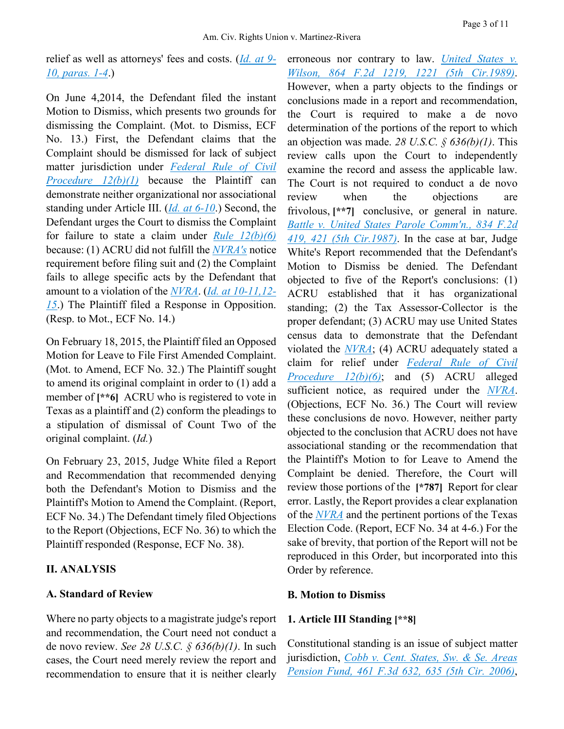relief as well as attorneys' fees and costs. (*[Id.](https://advance.lexis.com/api/document?collection=cases&id=urn:contentItem:3S4X-D670-003B-508Y-00000-00&context=) [at 9-](https://advance.lexis.com/api/document?collection=cases&id=urn:contentItem:3S4X-D670-003B-508Y-00000-00&context=) [10, paras. 1-4](https://advance.lexis.com/api/document?collection=cases&id=urn:contentItem:3S4X-D670-003B-508Y-00000-00&context=)*.)

On June 4,2014, the Defendant filed the instant Motion to Dismiss, which presents two grounds for dismissing the Complaint. (Mot. to Dismiss, ECF No. 13.) First, the Defendant claims that the Complaint should be dismissed for lack of subject matter jurisdiction under *[Federal Rule of Civil](https://advance.lexis.com/api/document?collection=statutes-legislation&id=urn:contentItem:5GYC-1WP1-6N19-F0YW-00000-00&context=)  [Procedure 12\(b\)\(1\)](https://advance.lexis.com/api/document?collection=statutes-legislation&id=urn:contentItem:5GYC-1WP1-6N19-F0YW-00000-00&context=)* because the Plaintiff can demonstrate neither organizational nor associational standing under Article III. (*[Id.](https://advance.lexis.com/api/document?collection=cases&id=urn:contentItem:3S4X-D670-003B-508Y-00000-00&context=) [at 6-10](https://advance.lexis.com/api/document?collection=cases&id=urn:contentItem:3S4X-D670-003B-508Y-00000-00&context=)*.) Second, the Defendant urges the Court to dismiss the Complaint for failure to state a claim under *[Rule 12\(b\)\(6\)](https://advance.lexis.com/api/document?collection=statutes-legislation&id=urn:contentItem:5GYC-1WP1-6N19-F0YW-00000-00&context=)* because: (1) ACRU did not fulfill the *[NVRA's](https://advance.lexis.com/api/document?collection=statutes-legislation&id=urn:contentItem:4YF7-GHR1-NRF4-43YP-00000-00&context=)* notice requirement before filing suit and (2) the Complaint fails to allege specific acts by the Defendant that amount to a violation of the *[NVRA](https://advance.lexis.com/api/document?collection=statutes-legislation&id=urn:contentItem:4YF7-GHR1-NRF4-43YP-00000-00&context=)*. (*[Id.](https://advance.lexis.com/api/document?collection=cases&id=urn:contentItem:3S4X-D670-003B-508Y-00000-00&context=) [at 10-11,12-](https://advance.lexis.com/api/document?collection=cases&id=urn:contentItem:3S4X-D670-003B-508Y-00000-00&context=) [15](https://advance.lexis.com/api/document?collection=cases&id=urn:contentItem:3S4X-D670-003B-508Y-00000-00&context=)*.) The Plaintiff filed a Response in Opposition. (Resp. to Mot., ECF No. 14.)

On February 18, 2015, the Plaintiff filed an Opposed Motion for Leave to File First Amended Complaint. (Mot. to Amend, ECF No. 32.) The Plaintiff sought to amend its original complaint in order to (1) add a member of  $[**6]$  ACRU who is registered to vote in Texas as a plaintiff and (2) conform the pleadings to a stipulation of dismissal of Count Two of the original complaint. (*Id.*)

On February 23, 2015, Judge White filed a Report and Recommendation that recommended denying both the Defendant's Motion to Dismiss and the Plaintiff's Motion to Amend the Complaint. (Report, ECF No. 34.) The Defendant timely filed Objections to the Report (Objections, ECF No. 36) to which the Plaintiff responded (Response, ECF No. 38).

## **II. ANALYSIS**

### **A. Standard of Review**

Where no party objects to a magistrate judge's report and recommendation, the Court need not conduct a de novo review. *See 28 U.S.C. § 636(b)(1)*. In such cases, the Court need merely review the report and recommendation to ensure that it is neither clearly

erroneous nor contrary to law. *[United States v.](https://advance.lexis.com/api/document?collection=cases&id=urn:contentItem:3S4X-D670-003B-508Y-00000-00&context=)  [Wilson, 864 F.2d 1219, 1221 \(5th Cir.1989\)](https://advance.lexis.com/api/document?collection=cases&id=urn:contentItem:3S4X-D670-003B-508Y-00000-00&context=)*. However, when a party objects to the findings or conclusions made in a report and recommendation, the Court is required to make a de novo determination of the portions of the report to which an objection was made. *28 U.S.C. § 636(b)(1)*. This review calls upon the Court to independently examine the record and assess the applicable law. The Court is not required to conduct a de novo review when the objections are frivolous, **[\*\*7]** conclusive, or general in nature. *[Battle v. United States Parole Comm'n., 834 F.2d](https://advance.lexis.com/api/document?collection=cases&id=urn:contentItem:3S4X-8WG0-001B-K1VX-00000-00&context=)  [419, 421 \(5th Cir.1987\)](https://advance.lexis.com/api/document?collection=cases&id=urn:contentItem:3S4X-8WG0-001B-K1VX-00000-00&context=)*. In the case at bar, Judge White's Report recommended that the Defendant's Motion to Dismiss be denied. The Defendant objected to five of the Report's conclusions: (1) ACRU established that it has organizational standing; (2) the Tax Assessor-Collector is the proper defendant; (3) ACRU may use United States census data to demonstrate that the Defendant violated the *[NVRA](https://advance.lexis.com/api/document?collection=statutes-legislation&id=urn:contentItem:4YF7-GHR1-NRF4-43YP-00000-00&context=)*; (4) ACRU adequately stated a claim for relief under *[Federal Rule of Civil](https://advance.lexis.com/api/document?collection=statutes-legislation&id=urn:contentItem:5GYC-1WP1-6N19-F0YW-00000-00&context=)  [Procedure 12\(b\)\(6\)](https://advance.lexis.com/api/document?collection=statutes-legislation&id=urn:contentItem:5GYC-1WP1-6N19-F0YW-00000-00&context=)*; and (5) ACRU alleged sufficient notice, as required under the *[NVRA](https://advance.lexis.com/api/document?collection=statutes-legislation&id=urn:contentItem:4YF7-GHR1-NRF4-43YP-00000-00&context=)*. (Objections, ECF No. 36.) The Court will review these conclusions de novo. However, neither party objected to the conclusion that ACRU does not have associational standing or the recommendation that the Plaintiff's Motion to for Leave to Amend the Complaint be denied. Therefore, the Court will review those portions of the **[\*787]** Report for clear error. Lastly, the Report provides a clear explanation of the *[NVRA](https://advance.lexis.com/api/document?collection=statutes-legislation&id=urn:contentItem:4YF7-GHR1-NRF4-43YP-00000-00&context=)* and the pertinent portions of the Texas Election Code. (Report, ECF No. 34 at 4-6.) For the sake of brevity, that portion of the Report will not be reproduced in this Order, but incorporated into this Order by reference.

### **B. Motion to Dismiss**

### **1. Article III Standing [\*\*8]**

Constitutional standing is an issue of subject matter jurisdiction, *[Cobb v. Cent. States, Sw. & Se. Areas](https://advance.lexis.com/api/document?collection=cases&id=urn:contentItem:4KPY-37R0-0038-X3SX-00000-00&context=)  [Pension Fund, 461 F.3d 632, 635 \(5th Cir. 2006\)](https://advance.lexis.com/api/document?collection=cases&id=urn:contentItem:4KPY-37R0-0038-X3SX-00000-00&context=)*,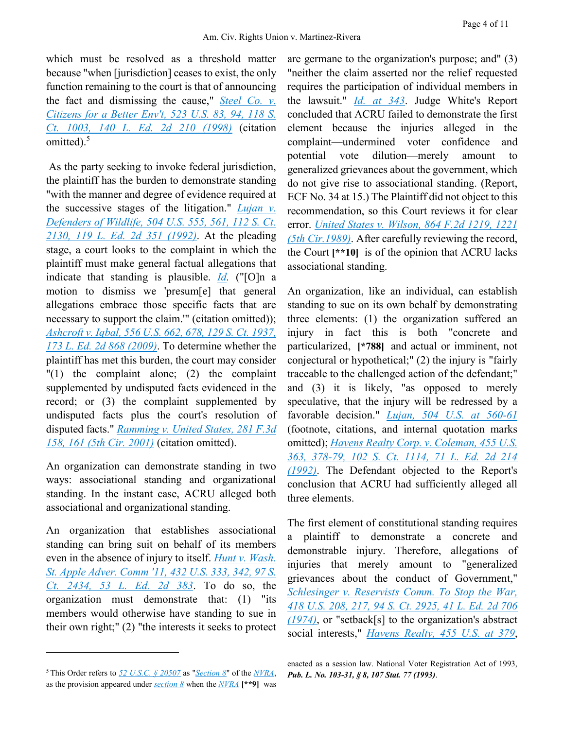which must be resolved as a threshold matter because "when [jurisdiction] ceases to exist, the only function remaining to the court is that of announcing the fact and dismissing the cause," *[Steel Co. v.](https://advance.lexis.com/api/document?collection=cases&id=urn:contentItem:3S53-89K0-004C-1007-00000-00&context=)  [Citizens for a Better Env't, 523 U.S. 83, 94, 118 S.](https://advance.lexis.com/api/document?collection=cases&id=urn:contentItem:3S53-89K0-004C-1007-00000-00&context=)  [Ct. 1003, 140 L. Ed. 2d 210 \(1998\)](https://advance.lexis.com/api/document?collection=cases&id=urn:contentItem:3S53-89K0-004C-1007-00000-00&context=)* (citation omitted). $5$ 

As the party seeking to invoke federal jurisdiction, the plaintiff has the burden to demonstrate standing "with the manner and degree of evidence required at the successive stages of the litigation." *[Lujan v.](https://advance.lexis.com/api/document?collection=cases&id=urn:contentItem:3S4W-XF70-003B-R3RX-00000-00&context=)  Defenders [of Wildlife, 504 U.S. 555, 561, 112 S. Ct.](https://advance.lexis.com/api/document?collection=cases&id=urn:contentItem:3S4W-XF70-003B-R3RX-00000-00&context=)  [2130, 119 L. Ed. 2d 351 \(1992\)](https://advance.lexis.com/api/document?collection=cases&id=urn:contentItem:3S4W-XF70-003B-R3RX-00000-00&context=)*. At the pleading stage, a court looks to the complaint in which the plaintiff must make general factual allegations that indicate that standing is plausible. *[Id.](https://advance.lexis.com/api/document?collection=cases&id=urn:contentItem:3S4W-XF70-003B-R3RX-00000-00&context=)* ("[O]n a motion to dismiss we 'presum[e] that general allegations embrace those specific facts that are necessary to support the claim.'" (citation omitted)); *[Ashcroft v. Iqbal, 556 U.S. 662, 678, 129 S. Ct. 1937,](https://advance.lexis.com/api/document?collection=cases&id=urn:contentItem:4W9Y-4KS0-TXFX-1325-00000-00&context=)  [173 L. Ed. 2d 868 \(2009\)](https://advance.lexis.com/api/document?collection=cases&id=urn:contentItem:4W9Y-4KS0-TXFX-1325-00000-00&context=)*. To determine whether the plaintiff has met this burden, the court may consider "(1) the complaint alone; (2) the complaint supplemented by undisputed facts evidenced in the record; or (3) the complaint supplemented by undisputed facts plus the court's resolution of disputed facts." *[Ramming v. United States, 281 F.3d](https://advance.lexis.com/api/document?collection=cases&id=urn:contentItem:450C-W220-0038-X1YH-00000-00&context=)  [158, 161 \(5th Cir. 2001\)](https://advance.lexis.com/api/document?collection=cases&id=urn:contentItem:450C-W220-0038-X1YH-00000-00&context=)* (citation omitted).

An organization can demonstrate standing in two ways: associational standing and organizational standing. In the instant case, ACRU alleged both associational and organizational standing.

An organization that establishes associational standing can bring suit on behalf of its members even in the absence of injury to itself. *[Hunt v. Wash.](https://advance.lexis.com/api/document?collection=cases&id=urn:contentItem:3S4X-9CY0-003B-S1K0-00000-00&context=)  [St. Apple Adver. Comm '11, 432 U.S. 333, 342, 97 S.](https://advance.lexis.com/api/document?collection=cases&id=urn:contentItem:3S4X-9CY0-003B-S1K0-00000-00&context=)  [Ct. 2434, 53 L. Ed. 2d 383](https://advance.lexis.com/api/document?collection=cases&id=urn:contentItem:3S4X-9CY0-003B-S1K0-00000-00&context=)*. To do so, the organization must demonstrate that: (1) "its members would otherwise have standing to sue in their own right;" (2) "the interests it seeks to protect

 $\overline{a}$ 

are germane to the organization's purpose; and" (3) "neither the claim asserted nor the relief requested requires the participation of individual members in the lawsuit." *[Id.](https://advance.lexis.com/api/document?collection=cases&id=urn:contentItem:3S4X-9CY0-003B-S1K0-00000-00&context=) [at 343](https://advance.lexis.com/api/document?collection=cases&id=urn:contentItem:3S4X-9CY0-003B-S1K0-00000-00&context=)*. Judge White's Report concluded that ACRU failed to demonstrate the first element because the injuries alleged in the complaint—undermined voter confidence and potential vote dilution—merely amount to generalized grievances about the government, which do not give rise to associational standing. (Report, ECF No. 34 at 15.) The Plaintiff did not object to this recommendation, so this Court reviews it for clear error. *[United States v. Wilson, 864 F.2d 1219, 1221](https://advance.lexis.com/api/document?collection=cases&id=urn:contentItem:3S4X-D670-003B-508Y-00000-00&context=)  [\(5th Cir.1989\)](https://advance.lexis.com/api/document?collection=cases&id=urn:contentItem:3S4X-D670-003B-508Y-00000-00&context=)*. After carefully reviewing the record, the Court **[\*\*10]** is of the opinion that ACRU lacks associational standing.

An organization, like an individual, can establish standing to sue on its own behalf by demonstrating three elements: (1) the organization suffered an injury in fact this is both "concrete and particularized, **[\*788]** and actual or imminent, not conjectural or hypothetical;" (2) the injury is "fairly traceable to the challenged action of the defendant;" and (3) it is likely, "as opposed to merely speculative, that the injury will be redressed by a favorable decision." *[Lujan, 504 U.S. at 560-61](https://advance.lexis.com/api/document?collection=cases&id=urn:contentItem:3S4W-XF70-003B-R3RX-00000-00&context=)* (footnote, citations, and internal quotation marks omitted); *[Havens Realty Corp. v. Coleman, 455 U.S.](https://advance.lexis.com/api/document?collection=cases&id=urn:contentItem:3S4X-5RB0-003B-S1M3-00000-00&context=)  [363, 378-79, 102 S. Ct. 1114, 71 L. Ed. 2d 214](https://advance.lexis.com/api/document?collection=cases&id=urn:contentItem:3S4X-5RB0-003B-S1M3-00000-00&context=)  [\(1992\)](https://advance.lexis.com/api/document?collection=cases&id=urn:contentItem:3S4X-5RB0-003B-S1M3-00000-00&context=)*. The Defendant objected to the Report's conclusion that ACRU had sufficiently alleged all three elements.

The first element of constitutional standing requires a plaintiff to demonstrate a concrete and demonstrable injury. Therefore, allegations of injuries that merely amount to "generalized grievances about the conduct of Government," *[Schlesinger v. Reservists Comm. To Stop the War,](https://advance.lexis.com/api/document?collection=cases&id=urn:contentItem:3RVB-1PV0-003B-S022-00000-00&context=)  [418 U.S. 208, 217, 94 S. Ct. 2925, 41 L. Ed. 2d 706](https://advance.lexis.com/api/document?collection=cases&id=urn:contentItem:3RVB-1PV0-003B-S022-00000-00&context=)  [\(1974\)](https://advance.lexis.com/api/document?collection=cases&id=urn:contentItem:3RVB-1PV0-003B-S022-00000-00&context=)*, or "setback[s] to the organization's abstract social interests," *[Havens Realty, 455 U.S. at 379](https://advance.lexis.com/api/document?collection=cases&id=urn:contentItem:3S4X-5RB0-003B-S1M3-00000-00&context=)*,

<sup>5</sup> This Order refers to *[52 U.S.C. § 20507](https://advance.lexis.com/api/document?collection=statutes-legislation&id=urn:contentItem:5D3N-F731-NRF4-4007-00000-00&context=)* as "*[Section 8](https://advance.lexis.com/api/document?collection=statutes-legislation&id=urn:contentItem:5D3N-F731-NRF4-4007-00000-00&context=)*" of the *[NVRA](https://advance.lexis.com/api/document?collection=statutes-legislation&id=urn:contentItem:4YF7-GHR1-NRF4-43YP-00000-00&context=)*, as the provision appeared under *[section 8](https://advance.lexis.com/api/document?collection=statutes-legislation&id=urn:contentItem:5D3N-F731-NRF4-4007-00000-00&context=)* when the *[NVRA](https://advance.lexis.com/api/document?collection=statutes-legislation&id=urn:contentItem:4YF7-GHR1-NRF4-43YP-00000-00&context=)* **[\*\*9]** was

enacted as a session law. National Voter Registration Act of 1993, *Pub. L. No. 103-31, § 8, 107 Stat. 77 (1993)*.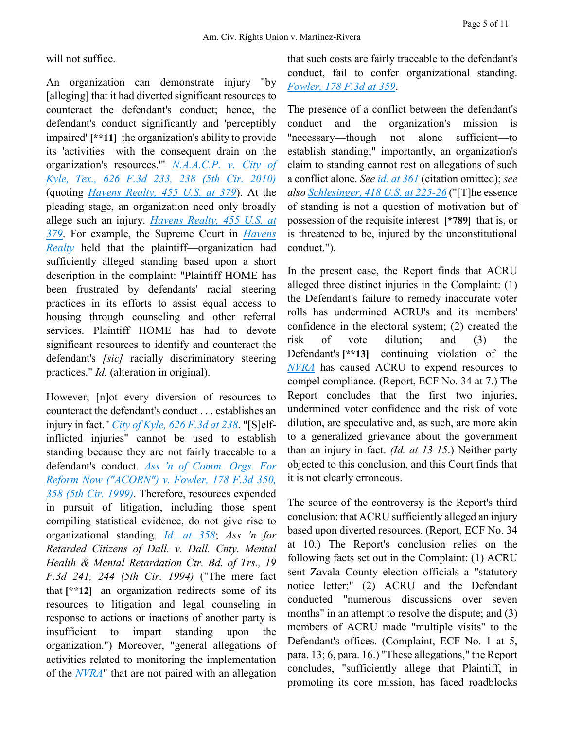will not suffice.

An organization can demonstrate injury "by [alleging] that it had diverted significant resources to counteract the defendant's conduct; hence, the defendant's conduct significantly and 'perceptibly impaired' **[\*\*11]** the organization's ability to provide its 'activities—with the consequent drain on the organization's resources.'" *[N.A.A.C.P. v. City of](https://advance.lexis.com/api/document?collection=cases&id=urn:contentItem:51FM-NV21-652R-300C-00000-00&context=)  [Kyle, Tex., 626 F.3d 233, 238 \(5th Cir. 2010\)](https://advance.lexis.com/api/document?collection=cases&id=urn:contentItem:51FM-NV21-652R-300C-00000-00&context=)* (quoting *[Havens Realty, 455 U.S. at 379](https://advance.lexis.com/api/document?collection=cases&id=urn:contentItem:3S4X-5RB0-003B-S1M3-00000-00&context=)*). At the pleading stage, an organization need only broadly allege such an injury. *[Havens Realty, 455 U.S. at](https://advance.lexis.com/api/document?collection=cases&id=urn:contentItem:3S4X-5RB0-003B-S1M3-00000-00&context=)  [379](https://advance.lexis.com/api/document?collection=cases&id=urn:contentItem:3S4X-5RB0-003B-S1M3-00000-00&context=)*. For example, the Supreme Court in *[Havens](https://advance.lexis.com/api/document?collection=cases&id=urn:contentItem:51FM-NV21-652R-300C-00000-00&context=)  [Realty](https://advance.lexis.com/api/document?collection=cases&id=urn:contentItem:51FM-NV21-652R-300C-00000-00&context=)* held that the plaintiff—organization had sufficiently alleged standing based upon a short description in the complaint: "Plaintiff HOME has been frustrated by defendants' racial steering practices in its efforts to assist equal access to housing through counseling and other referral services. Plaintiff HOME has had to devote significant resources to identify and counteract the defendant's *[sic]* racially discriminatory steering practices." *Id.* (alteration in original).

However, [n]ot every diversion of resources to counteract the defendant's conduct . . . establishes an injury in fact." *[City of Kyle, 626 F.3d at 238](https://advance.lexis.com/api/document?collection=cases&id=urn:contentItem:51FM-NV21-652R-300C-00000-00&context=)*. "[S]elfinflicted injuries" cannot be used to establish standing because they are not fairly traceable to a defendant's conduct. *[Ass 'n of Comm. Orgs. For](https://advance.lexis.com/api/document?collection=cases&id=urn:contentItem:3WP1-YX50-0038-X0G1-00000-00&context=)  [Reform Now \("ACORN"\) v. Fowler, 178 F.3d 350,](https://advance.lexis.com/api/document?collection=cases&id=urn:contentItem:3WP1-YX50-0038-X0G1-00000-00&context=)  [358 \(5th Cir. 1999\)](https://advance.lexis.com/api/document?collection=cases&id=urn:contentItem:3WP1-YX50-0038-X0G1-00000-00&context=)*. Therefore, resources expended in pursuit of litigation, including those spent compiling statistical evidence, do not give rise to organizational standing. *[Id.](https://advance.lexis.com/api/document?collection=cases&id=urn:contentItem:3WP1-YX50-0038-X0G1-00000-00&context=) [at 358](https://advance.lexis.com/api/document?collection=cases&id=urn:contentItem:3WP1-YX50-0038-X0G1-00000-00&context=)*; *Ass 'n for Retarded Citizens of Dall. v. Dall. Cnty. Mental Health & Mental Retardation Ctr. Bd. of Trs., 19 F.3d 241, 244 (5th Cir. 1994)* ("The mere fact that **[\*\*12]** an organization redirects some of its resources to litigation and legal counseling in response to actions or inactions of another party is insufficient to impart standing upon the organization.") Moreover, "general allegations of activities related to monitoring the implementation of the *[NVRA](https://advance.lexis.com/api/document?collection=statutes-legislation&id=urn:contentItem:4YF7-GHR1-NRF4-43YP-00000-00&context=)*" that are not paired with an allegation that such costs are fairly traceable to the defendant's conduct, fail to confer organizational standing. *[Fowler, 178 F.3d at 359](https://advance.lexis.com/api/document?collection=cases&id=urn:contentItem:3WP1-YX50-0038-X0G1-00000-00&context=)*.

The presence of a conflict between the defendant's conduct and the organization's mission is "necessary—though not alone sufficient—to establish standing;" importantly, an organization's claim to standing cannot rest on allegations of such a conflict alone. *See [id.](https://advance.lexis.com/api/document?collection=cases&id=urn:contentItem:3WP1-YX50-0038-X0G1-00000-00&context=) [at 361](https://advance.lexis.com/api/document?collection=cases&id=urn:contentItem:3WP1-YX50-0038-X0G1-00000-00&context=)* (citation omitted); *see als[o Schlesinger, 418 U.S. at 225-26](https://advance.lexis.com/api/document?collection=cases&id=urn:contentItem:3RVB-1PV0-003B-S022-00000-00&context=)* ("[T]he essence of standing is not a question of motivation but of possession of the requisite interest **[\*789]** that is, or is threatened to be, injured by the unconstitutional conduct.").

In the present case, the Report finds that ACRU alleged three distinct injuries in the Complaint: (1) the Defendant's failure to remedy inaccurate voter rolls has undermined ACRU's and its members' confidence in the electoral system; (2) created the risk of vote dilution; and (3) the Defendant's **[\*\*13]** continuing violation of the *[NVRA](https://advance.lexis.com/api/document?collection=statutes-legislation&id=urn:contentItem:4YF7-GHR1-NRF4-43YP-00000-00&context=)* has caused ACRU to expend resources to compel compliance. (Report, ECF No. 34 at 7.) The Report concludes that the first two injuries, undermined voter confidence and the risk of vote dilution, are speculative and, as such, are more akin to a generalized grievance about the government than an injury in fact. *(Id. at 13-15*.) Neither party objected to this conclusion, and this Court finds that it is not clearly erroneous.

The source of the controversy is the Report's third conclusion: that ACRU sufficiently alleged an injury based upon diverted resources. (Report, ECF No. 34 at 10.) The Report's conclusion relies on the following facts set out in the Complaint: (1) ACRU sent Zavala County election officials a "statutory notice letter;" (2) ACRU and the Defendant conducted "numerous discussions over seven months" in an attempt to resolve the dispute; and (3) members of ACRU made "multiple visits" to the Defendant's offices. (Complaint, ECF No. 1 at 5, para. 13; 6, para. 16.) "These allegations," the Report concludes, "sufficiently allege that Plaintiff, in promoting its core mission, has faced roadblocks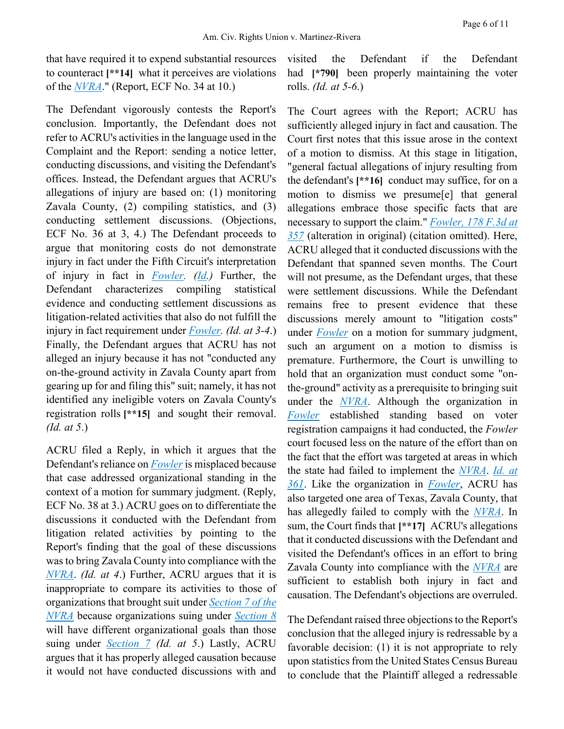that have required it to expend substantial resources to counteract **[\*\*14]** what it perceives are violations of the *[NVRA](https://advance.lexis.com/api/document?collection=statutes-legislation&id=urn:contentItem:4YF7-GHR1-NRF4-43YP-00000-00&context=)*." (Report, ECF No. 34 at 10.)

The Defendant vigorously contests the Report's conclusion. Importantly, the Defendant does not refer to ACRU's activities in the language used in the Complaint and the Report: sending a notice letter, conducting discussions, and visiting the Defendant's offices. Instead, the Defendant argues that ACRU's allegations of injury are based on: (1) monitoring Zavala County, (2) compiling statistics, and (3) conducting settlement discussions. (Objections, ECF No. 36 at 3, 4.) The Defendant proceeds to argue that monitoring costs do not demonstrate injury in fact under the Fifth Circuit's interpretation of injury in fact in *[Fowler.](https://advance.lexis.com/api/document?collection=cases&id=urn:contentItem:3WP1-YX50-0038-X0G1-00000-00&context=) [\(Id.](https://advance.lexis.com/api/document?collection=cases&id=urn:contentItem:3WP1-YX50-0038-X0G1-00000-00&context=))* Further, the Defendant characterizes compiling statistical evidence and conducting settlement discussions as litigation-related activities that also do not fulfill the injury in fact requirement under *[Fowler.](https://advance.lexis.com/api/document?collection=cases&id=urn:contentItem:3WP1-YX50-0038-X0G1-00000-00&context=) (Id. at 3-4*.) Finally, the Defendant argues that ACRU has not alleged an injury because it has not "conducted any on-the-ground activity in Zavala County apart from gearing up for and filing this" suit; namely, it has not identified any ineligible voters on Zavala County's registration rolls **[\*\*15]** and sought their removal. *(Id. at 5*.)

ACRU filed a Reply, in which it argues that the Defendant's reliance on *[Fowler](https://advance.lexis.com/api/document?collection=cases&id=urn:contentItem:3WP1-YX50-0038-X0G1-00000-00&context=)* is misplaced because that case addressed organizational standing in the context of a motion for summary judgment. (Reply, ECF No. 38 at 3.) ACRU goes on to differentiate the discussions it conducted with the Defendant from litigation related activities by pointing to the Report's finding that the goal of these discussions was to bring Zavala County into compliance with the *[NVRA](https://advance.lexis.com/api/document?collection=statutes-legislation&id=urn:contentItem:4YF7-GHR1-NRF4-43YP-00000-00&context=)*. *(Id. at 4*.) Further, ACRU argues that it is inappropriate to compare its activities to those of organizations that brought suit under *[Section 7 of the](https://advance.lexis.com/api/document?collection=statutes-legislation&id=urn:contentItem:5D3N-F731-NRF4-4006-00000-00&context=)  [NVRA](https://advance.lexis.com/api/document?collection=statutes-legislation&id=urn:contentItem:5D3N-F731-NRF4-4006-00000-00&context=)* because organizations suing under *[Section 8](https://advance.lexis.com/api/document?collection=statutes-legislation&id=urn:contentItem:5D3N-F731-NRF4-4007-00000-00&context=)* will have different organizational goals than those suing under *[Section 7](https://advance.lexis.com/api/document?collection=statutes-legislation&id=urn:contentItem:5D3N-F731-NRF4-4006-00000-00&context=) (Id. at 5*.) Lastly, ACRU argues that it has properly alleged causation because it would not have conducted discussions with and

visited the Defendant if the Defendant had **[\*790]** been properly maintaining the voter rolls. *(Id. at 5-6*.)

The Court agrees with the Report; ACRU has sufficiently alleged injury in fact and causation. The Court first notes that this issue arose in the context of a motion to dismiss. At this stage in litigation, "general factual allegations of injury resulting from the defendant's **[\*\*16]** conduct may suffice, for on a motion to dismiss we presume[e] that general allegations embrace those specific facts that are necessary to support the claim." *[Fowler, 178 F.3d at](https://advance.lexis.com/api/document?collection=cases&id=urn:contentItem:3WP1-YX50-0038-X0G1-00000-00&context=)  [357](https://advance.lexis.com/api/document?collection=cases&id=urn:contentItem:3WP1-YX50-0038-X0G1-00000-00&context=)* (alteration in original) (citation omitted). Here, ACRU alleged that it conducted discussions with the Defendant that spanned seven months. The Court will not presume, as the Defendant urges, that these were settlement discussions. While the Defendant remains free to present evidence that these discussions merely amount to "litigation costs" under *[Fowler](https://advance.lexis.com/api/document?collection=cases&id=urn:contentItem:3WP1-YX50-0038-X0G1-00000-00&context=)* on a motion for summary judgment, such an argument on a motion to dismiss is premature. Furthermore, the Court is unwilling to hold that an organization must conduct some "onthe-ground" activity as a prerequisite to bringing suit under the *[NVRA](https://advance.lexis.com/api/document?collection=statutes-legislation&id=urn:contentItem:4YF7-GHR1-NRF4-43YP-00000-00&context=)*. Although the organization in *[Fowler](https://advance.lexis.com/api/document?collection=cases&id=urn:contentItem:3WP1-YX50-0038-X0G1-00000-00&context=)* established standing based on voter registration campaigns it had conducted, the *Fowler* court focused less on the nature of the effort than on the fact that the effort was targeted at areas in which the state had failed to implement the *[NVRA](https://advance.lexis.com/api/document?collection=statutes-legislation&id=urn:contentItem:4YF7-GHR1-NRF4-43YP-00000-00&context=)*. *[Id.](https://advance.lexis.com/api/document?collection=cases&id=urn:contentItem:3WP1-YX50-0038-X0G1-00000-00&context=) [at](https://advance.lexis.com/api/document?collection=cases&id=urn:contentItem:3WP1-YX50-0038-X0G1-00000-00&context=)  [361](https://advance.lexis.com/api/document?collection=cases&id=urn:contentItem:3WP1-YX50-0038-X0G1-00000-00&context=)*. Like the organization in *[Fowler](https://advance.lexis.com/api/document?collection=cases&id=urn:contentItem:3WP1-YX50-0038-X0G1-00000-00&context=)*, ACRU has also targeted one area of Texas, Zavala County, that has allegedly failed to comply with the *[NVRA](https://advance.lexis.com/api/document?collection=statutes-legislation&id=urn:contentItem:4YF7-GHR1-NRF4-43YP-00000-00&context=)*. In sum, the Court finds that **[\*\*17]** ACRU's allegations that it conducted discussions with the Defendant and visited the Defendant's offices in an effort to bring Zavala County into compliance with the *[NVRA](https://advance.lexis.com/api/document?collection=statutes-legislation&id=urn:contentItem:4YF7-GHR1-NRF4-43YP-00000-00&context=)* are sufficient to establish both injury in fact and causation. The Defendant's objections are overruled.

The Defendant raised three objections to the Report's conclusion that the alleged injury is redressable by a favorable decision: (1) it is not appropriate to rely upon statistics from the United States Census Bureau to conclude that the Plaintiff alleged a redressable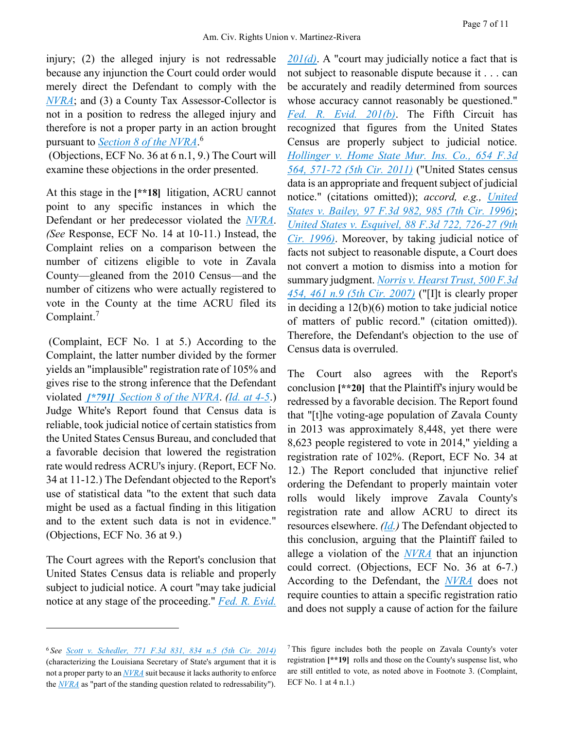injury; (2) the alleged injury is not redressable because any injunction the Court could order would merely direct the Defendant to comply with the *[NVRA](https://advance.lexis.com/api/document?collection=statutes-legislation&id=urn:contentItem:4YF7-GHR1-NRF4-43YP-00000-00&context=)*; and (3) a County Tax Assessor-Collector is not in a position to redress the alleged injury and therefore is not a proper party in an action brought pursuant to *[Section 8 of the NVRA](https://advance.lexis.com/api/document?collection=statutes-legislation&id=urn:contentItem:4YF7-GHR1-NRF4-43YP-00000-00&context=)*. 6

(Objections, ECF No. 36 at 6 n.1, 9.) The Court will examine these objections in the order presented.

At this stage in the **[\*\*18]** litigation, ACRU cannot point to any specific instances in which the Defendant or her predecessor violated the *[NVRA](https://advance.lexis.com/api/document?collection=statutes-legislation&id=urn:contentItem:4YF7-GHR1-NRF4-43YP-00000-00&context=)*. *(See* Response, ECF No. 14 at 10-11.) Instead, the Complaint relies on a comparison between the number of citizens eligible to vote in Zavala County—gleaned from the 2010 Census—and the number of citizens who were actually registered to vote in the County at the time ACRU filed its Complaint.<sup>7</sup>

(Complaint, ECF No. 1 at 5.) According to the Complaint, the latter number divided by the former yields an "implausible" registration rate of 105% and gives rise to the strong inference that the Defendant violated *[\[\\*791\]](https://advance.lexis.com/api/document?collection=statutes-legislation&id=urn:contentItem:4YF7-GHR1-NRF4-43YP-00000-00&context=) Section [8 of the NVRA](https://advance.lexis.com/api/document?collection=statutes-legislation&id=urn:contentItem:4YF7-GHR1-NRF4-43YP-00000-00&context=)*. *[\(Id.](https://advance.lexis.com/api/document?collection=cases&id=urn:contentItem:5DHX-5V41-F04K-N20M-00000-00&context=) [at 4-5](https://advance.lexis.com/api/document?collection=cases&id=urn:contentItem:5DHX-5V41-F04K-N20M-00000-00&context=)*.) Judge White's Report found that Census data is reliable, took judicial notice of certain statistics from the United States Census Bureau, and concluded that a favorable decision that lowered the registration rate would redress ACRU's injury. (Report, ECF No. 34 at 11-12.) The Defendant objected to the Report's use of statistical data "to the extent that such data might be used as a factual finding in this litigation and to the extent such data is not in evidence." (Objections, ECF No. 36 at 9.)

The Court agrees with the Report's conclusion that United States Census data is reliable and properly subject to judicial notice. A court "may take judicial notice at any stage of the proceeding." *[Fed. R. Evid.](https://advance.lexis.com/api/document?collection=statutes-legislation&id=urn:contentItem:5GYC-2991-FG36-11WV-00000-00&context=)* 

*[201\(d\)](https://advance.lexis.com/api/document?collection=statutes-legislation&id=urn:contentItem:5GYC-2991-FG36-11WV-00000-00&context=)*. A "court may judicially notice a fact that is not subject to reasonable dispute because it . . . can be accurately and readily determined from sources whose accuracy cannot reasonably be questioned." *Fed. [R. Evid. 201\(b\)](https://advance.lexis.com/api/document?collection=statutes-legislation&id=urn:contentItem:5GYC-2991-FG36-11WV-00000-00&context=)*. The Fifth Circuit has recognized that figures from the United States Census are properly subject to judicial notice. *[Hollinger v. Home State Mur. Ins. Co., 654 F.3d](https://advance.lexis.com/api/document?collection=cases&id=urn:contentItem:834G-N9S1-652R-33D3-00000-00&context=)  [564, 571-72 \(5th Cir. 2011\)](https://advance.lexis.com/api/document?collection=cases&id=urn:contentItem:834G-N9S1-652R-33D3-00000-00&context=)* ("United States census data is an appropriate and frequent subject of judicial notice." (citations omitted)); *accord, e.g., [United](https://advance.lexis.com/api/document?collection=cases&id=urn:contentItem:3S4X-0H30-006F-M3NT-00000-00&context=)  [States v. Bailey, 97 F.3d 982, 985 \(7th Cir. 1996\)](https://advance.lexis.com/api/document?collection=cases&id=urn:contentItem:3S4X-0H30-006F-M3NT-00000-00&context=)*; *[United States v. Esquivel, 88 F.3d 722, 726-27 \(9th](https://advance.lexis.com/api/document?collection=cases&id=urn:contentItem:3S4X-1WB0-006F-M0S5-00000-00&context=)  [Cir. 1996\)](https://advance.lexis.com/api/document?collection=cases&id=urn:contentItem:3S4X-1WB0-006F-M0S5-00000-00&context=)*. Moreover, by taking judicial notice of facts not subject to reasonable dispute, a Court does not convert a motion to dismiss into a motion for summary judgment. *[Norris v. Hearst Trust, 500 F.3d](https://advance.lexis.com/api/document?collection=cases&id=urn:contentItem:4PPG-X8K0-TXFX-72BX-00000-00&context=)  [454, 461 n.9 \(5th Cir. 2007\)](https://advance.lexis.com/api/document?collection=cases&id=urn:contentItem:4PPG-X8K0-TXFX-72BX-00000-00&context=)* ("[I]t is clearly proper in deciding a 12(b)(6) motion to take judicial notice of matters of public record." (citation omitted)). Therefore, the Defendant's objection to the use of Census data is overruled.

The Court also agrees with the Report's conclusion **[\*\*20]** that the Plaintiff's injury would be redressed by a favorable decision. The Report found that "[t]he voting-age population of Zavala County in 2013 was approximately 8,448, yet there were 8,623 people registered to vote in 2014," yielding a registration rate of 102%. (Report, ECF No. 34 at 12.) The Report concluded that injunctive relief ordering the Defendant to properly maintain voter rolls would likely improve Zavala County's registration rate and allow ACRU to direct its resources elsewhere. *[\(Id.](https://advance.lexis.com/api/document?collection=cases&id=urn:contentItem:4PPG-X8K0-TXFX-72BX-00000-00&context=))* The Defendant objected to this conclusion, arguing that the Plaintiff failed to allege a violation of the *[NVRA](https://advance.lexis.com/api/document?collection=statutes-legislation&id=urn:contentItem:4YF7-GHR1-NRF4-43YP-00000-00&context=)* that an injunction could correct. (Objections, ECF No. 36 at 6-7.) According to the Defendant, the *[NVRA](https://advance.lexis.com/api/document?collection=statutes-legislation&id=urn:contentItem:4YF7-GHR1-NRF4-43YP-00000-00&context=)* does not require counties to attain a specific registration ratio and does not supply a cause of action for the failure

 $\overline{a}$ 

<sup>6</sup> *See [Scott v. Schedler, 771 F.3d 831, 834 n.5 \(5th Cir. 2014\)](https://advance.lexis.com/api/document?collection=cases&id=urn:contentItem:5DHX-5V41-F04K-N20M-00000-00&context=)* (characterizing the Louisiana Secretary of State's argument that it is not a proper party to an *[NVRA](https://advance.lexis.com/api/document?collection=statutes-legislation&id=urn:contentItem:4YF7-GHR1-NRF4-43YP-00000-00&context=)* suit because it lacks authority to enforce the *[NVRA](https://advance.lexis.com/api/document?collection=statutes-legislation&id=urn:contentItem:4YF7-GHR1-NRF4-43YP-00000-00&context=)* as "part of the standing question related to redressability").

<sup>7</sup> This figure includes both the people on Zavala County's voter registration **[\*\*19]** rolls and those on the County's suspense list, who are still entitled to vote, as noted above in Footnote 3. (Complaint, ECF No. 1 at 4 n.1.)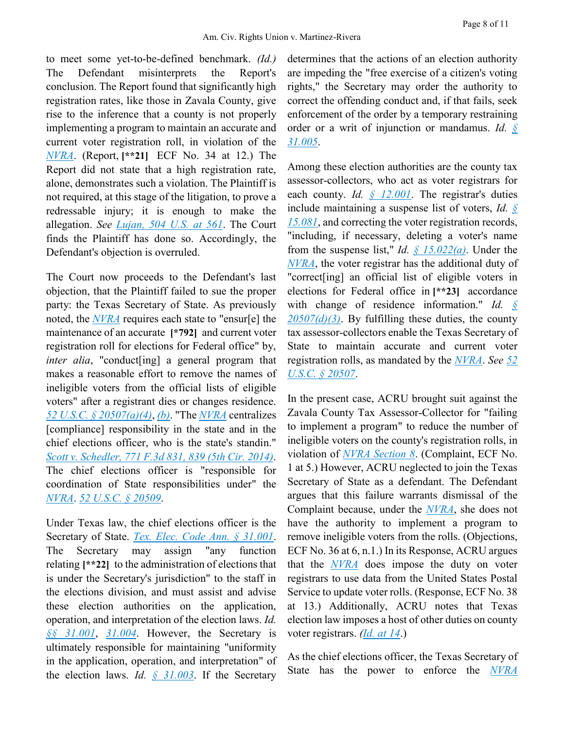to meet some yet-to-be-defined benchmark. *(Id.)* The Defendant misinterprets the Report's conclusion. The Report found that significantly high registration rates, like those in Zavala County, give rise to the inference that a county is not properly implementing a program to maintain an accurate and current voter registration roll, in violation of the *[NVRA](https://advance.lexis.com/api/document?collection=statutes-legislation&id=urn:contentItem:4YF7-GHR1-NRF4-43YP-00000-00&context=)*. (Report, **[\*\*21]** ECF No. 34 at 12.) The Report did not state that a high registration rate, alone, demonstrates such a violation. The Plaintiff is not required, at this stage of the litigation, to prove a redressable injury; it is enough to make the allegation. *See [Lujan, 504 U.S. at 561](https://advance.lexis.com/api/document?collection=cases&id=urn:contentItem:3S4W-XF70-003B-R3RX-00000-00&context=)*. The Court finds the Plaintiff has done so. Accordingly, the Defendant's objection is overruled.

The Court now proceeds to the Defendant's last objection, that the Plaintiff failed to sue the proper party: the Texas Secretary of State. As previously noted, the *[NVRA](https://advance.lexis.com/api/document?collection=statutes-legislation&id=urn:contentItem:4YF7-GHR1-NRF4-43YP-00000-00&context=)* requires each state to "ensur[e] the maintenance of an accurate **[\*792]** and current voter registration roll for elections for Federal office" by, *inter alia*, "conduct[ing] a general program that makes a reasonable effort to remove the names of ineligible voters from the official lists of eligible voters" after a registrant dies or changes residence. *[52 U.S.C. § 20507\(a\)\(4\)](https://advance.lexis.com/api/document?collection=statutes-legislation&id=urn:contentItem:5D3N-F731-NRF4-4007-00000-00&context=)*, *[\(b\)](https://advance.lexis.com/api/document?collection=statutes-legislation&id=urn:contentItem:5D3N-F731-NRF4-4007-00000-00&context=)*. "The *[NVRA](https://advance.lexis.com/api/document?collection=statutes-legislation&id=urn:contentItem:4YF7-GHR1-NRF4-43YP-00000-00&context=)* centralizes [compliance] responsibility in the state and in the chief elections officer, who is the state's standin." *[Scott v. Schedler, 771 F.3d 831, 839 \(5th Cir. 2014\)](https://advance.lexis.com/api/document?collection=cases&id=urn:contentItem:5DHX-5V41-F04K-N20M-00000-00&context=)*. The chief elections officer is "responsible for coordination of State responsibilities under" the *[NVRA](https://advance.lexis.com/api/document?collection=statutes-legislation&id=urn:contentItem:4YF7-GHR1-NRF4-43YP-00000-00&context=)*. *[52 U.S.C. § 20509](https://advance.lexis.com/api/document?collection=statutes-legislation&id=urn:contentItem:5D3N-F741-NRF4-4009-00000-00&context=)*.

Under Texas law, the chief elections officer is the Secretary of State. *[Tex. Elec. Code Ann. § 31.001](https://advance.lexis.com/api/document?collection=statutes-legislation&id=urn:contentItem:5DDJ-BJ51-6MP4-00J5-00000-00&context=)*. The Secretary may assign "any function relating **[\*\*22]** to the administration of elections that is under the Secretary's jurisdiction" to the staff in the elections division, and must assist and advise these election authorities on the application, operation, and interpretation of the election laws. *Id. [§§](https://advance.lexis.com/api/document?collection=statutes-legislation&id=urn:contentItem:5DDJ-BJ51-6MP4-00J5-00000-00&context=) [31.001](https://advance.lexis.com/api/document?collection=statutes-legislation&id=urn:contentItem:5DDJ-BJ51-6MP4-00J5-00000-00&context=)*, *[31.004](https://advance.lexis.com/api/document?collection=statutes-legislation&id=urn:contentItem:5DDJ-BJ51-6MP4-00J9-00000-00&context=)*. However, the Secretary is ultimately responsible for maintaining "uniformity in the application, operation, and interpretation" of the election laws. *Id. [§](https://advance.lexis.com/api/document?collection=statutes-legislation&id=urn:contentItem:5DDJ-BJ51-6MP4-00J8-00000-00&context=) [31.003](https://advance.lexis.com/api/document?collection=statutes-legislation&id=urn:contentItem:5DDJ-BJ51-6MP4-00J8-00000-00&context=)*. If the Secretary

determines that the actions of an election authority are impeding the "free exercise of a citizen's voting rights," the Secretary may order the authority to correct the offending conduct and, if that fails, seek enforcement of the order by a temporary restraining order or a writ of injunction or mandamus. *Id. [§](https://advance.lexis.com/api/document?collection=statutes-legislation&id=urn:contentItem:5DDJ-BJ51-6MP4-00JB-00000-00&context=) [31.005](https://advance.lexis.com/api/document?collection=statutes-legislation&id=urn:contentItem:5DDJ-BJ51-6MP4-00JB-00000-00&context=)*.

Among these election authorities are the county tax assessor-collectors, who act as voter registrars for each county. *Id. [§](https://advance.lexis.com/api/document?collection=statutes-legislation&id=urn:contentItem:5DDJ-BJ51-6MP4-006V-00000-00&context=) [12.001](https://advance.lexis.com/api/document?collection=statutes-legislation&id=urn:contentItem:5DDJ-BJ51-6MP4-006V-00000-00&context=)*. The registrar's duties include maintaining a suspense list of voters, *Id. [§](https://advance.lexis.com/api/document?collection=statutes-legislation&id=urn:contentItem:5DDJ-BJ51-6MP4-00C3-00000-00&context=) [15.081](https://advance.lexis.com/api/document?collection=statutes-legislation&id=urn:contentItem:5DDJ-BJ51-6MP4-00C3-00000-00&context=)*, and correcting the voter registration records, "including, if necessary, deleting a voter's name from the suspense list," *Id. [§](https://advance.lexis.com/api/document?collection=statutes-legislation&id=urn:contentItem:5DDJ-BJ51-6MP4-00BJ-00000-00&context=) [15.022\(a\)](https://advance.lexis.com/api/document?collection=statutes-legislation&id=urn:contentItem:5DDJ-BJ51-6MP4-00BJ-00000-00&context=)*. Under the *[NVRA](https://advance.lexis.com/api/document?collection=statutes-legislation&id=urn:contentItem:4YF7-GHR1-NRF4-43YP-00000-00&context=)*, the voter registrar has the additional duty of "correct[ing] an official list of eligible voters in elections for Federal office in **[\*\*23]** accordance with change of residence information." *Id. [§](https://advance.lexis.com/api/document?collection=statutes-legislation&id=urn:contentItem:5D3N-F731-NRF4-4007-00000-00&context=) [20507\(d\)\(3\)](https://advance.lexis.com/api/document?collection=statutes-legislation&id=urn:contentItem:5D3N-F731-NRF4-4007-00000-00&context=)*. By fulfilling these duties, the county tax assessor-collectors enable the Texas Secretary of State to maintain accurate and current voter registration rolls, as mandated by the *[NVRA](https://advance.lexis.com/api/document?collection=statutes-legislation&id=urn:contentItem:4YF7-GHR1-NRF4-43YP-00000-00&context=)*. *See [52](https://advance.lexis.com/api/document?collection=statutes-legislation&id=urn:contentItem:5D3N-F731-NRF4-4007-00000-00&context=)  [U.S.C. § 20507](https://advance.lexis.com/api/document?collection=statutes-legislation&id=urn:contentItem:5D3N-F731-NRF4-4007-00000-00&context=)*.

In the present case, ACRU brought suit against the Zavala County Tax Assessor-Collector for "failing to implement a program" to reduce the number of ineligible voters on the county's registration rolls, in violation of *[NVRA Section 8](https://advance.lexis.com/api/document?collection=statutes-legislation&id=urn:contentItem:4YF7-GHR1-NRF4-43YP-00000-00&context=)*. (Complaint, ECF No. 1 at 5.) However, ACRU neglected to join the Texas Secretary of State as a defendant. The Defendant argues that this failure warrants dismissal of the Complaint because, under the *[NVRA](https://advance.lexis.com/api/document?collection=statutes-legislation&id=urn:contentItem:4YF7-GHR1-NRF4-43YP-00000-00&context=)*, she does not have the authority to implement a program to remove ineligible voters from the rolls. (Objections, ECF No. 36 at 6, n.1.) In its Response, ACRU argues that the *[NVRA](https://advance.lexis.com/api/document?collection=statutes-legislation&id=urn:contentItem:4YF7-GHR1-NRF4-43YP-00000-00&context=)* does impose the duty on voter registrars to use data from the United States Postal Service to update voter rolls. (Response, ECF No. 38 at 13.) Additionally, ACRU notes that Texas election law imposes a host of other duties on county voter registrars. *[\(Id.](https://advance.lexis.com/api/document?collection=cases&id=urn:contentItem:5DHX-5V41-F04K-N20M-00000-00&context=) [at 14](https://advance.lexis.com/api/document?collection=cases&id=urn:contentItem:5DHX-5V41-F04K-N20M-00000-00&context=)*.)

As the chief elections officer, the Texas Secretary of State has the power to enforce the *[NVRA](https://advance.lexis.com/api/document?collection=statutes-legislation&id=urn:contentItem:4YF7-GHR1-NRF4-43YP-00000-00&context=)*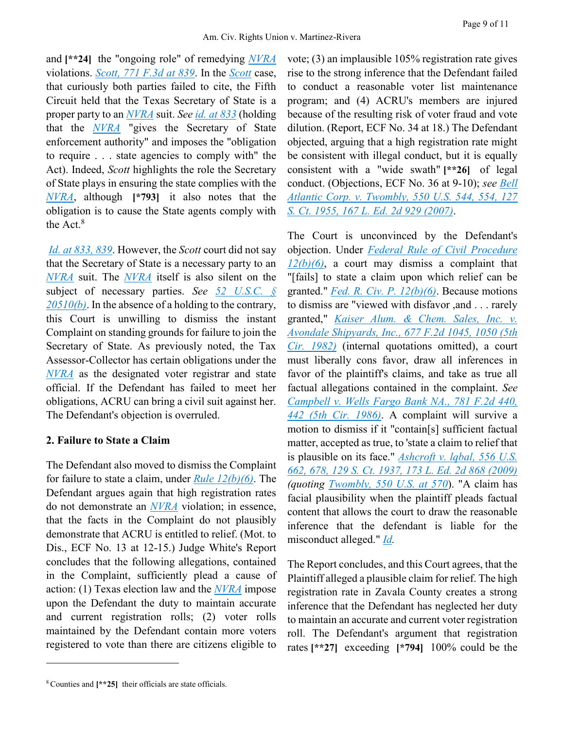Page 9 of 11

and **[\*\*24]** the "ongoing role" of remedying *[NVRA](https://advance.lexis.com/api/document?collection=statutes-legislation&id=urn:contentItem:4YF7-GHR1-NRF4-43YP-00000-00&context=)* violations. *[Scott, 771 F.3d at 839](https://advance.lexis.com/api/document?collection=cases&id=urn:contentItem:5DHX-5V41-F04K-N20M-00000-00&context=)*. In the *[Scott](https://advance.lexis.com/api/document?collection=cases&id=urn:contentItem:5DHX-5V41-F04K-N20M-00000-00&context=)* case, that curiously both parties failed to cite, the Fifth Circuit held that the Texas Secretary of State is a proper party to an *[NVRA](https://advance.lexis.com/api/document?collection=statutes-legislation&id=urn:contentItem:4YF7-GHR1-NRF4-43YP-00000-00&context=)* suit. *See [id.](https://advance.lexis.com/api/document?collection=cases&id=urn:contentItem:5DHX-5V41-F04K-N20M-00000-00&context=) [at 833](https://advance.lexis.com/api/document?collection=cases&id=urn:contentItem:5DHX-5V41-F04K-N20M-00000-00&context=)* (holding that the *[NVRA](https://advance.lexis.com/api/document?collection=statutes-legislation&id=urn:contentItem:4YF7-GHR1-NRF4-43YP-00000-00&context=)* "gives the Secretary of State enforcement authority" and imposes the "obligation to require . . . state agencies to comply with" the Act). Indeed, *Scott* highlights the role the Secretary of State plays in ensuring the state complies with the *[NVRA](https://advance.lexis.com/api/document?collection=statutes-legislation&id=urn:contentItem:4YF7-GHR1-NRF4-43YP-00000-00&context=)*, although **[\*793]** it also notes that the obligation is to cause the State agents comply with the Act.<sup>8</sup>

*[Id.](https://advance.lexis.com/api/document?collection=cases&id=urn:contentItem:5DHX-5V41-F04K-N20M-00000-00&context=) [at 833, 839](https://advance.lexis.com/api/document?collection=cases&id=urn:contentItem:5DHX-5V41-F04K-N20M-00000-00&context=)*. However, the *Scott* court did not say that the Secretary of State is a necessary party to an *[NVRA](https://advance.lexis.com/api/document?collection=statutes-legislation&id=urn:contentItem:4YF7-GHR1-NRF4-43YP-00000-00&context=)* suit. The *[NVRA](https://advance.lexis.com/api/document?collection=statutes-legislation&id=urn:contentItem:4YF7-GHR1-NRF4-43YP-00000-00&context=)* itself is also silent on the subject of necessary parties. *See [52 U.S.C. §](https://advance.lexis.com/api/document?collection=statutes-legislation&id=urn:contentItem:5D3N-F741-NRF4-400B-00000-00&context=)  [20510\(b\)](https://advance.lexis.com/api/document?collection=statutes-legislation&id=urn:contentItem:5D3N-F741-NRF4-400B-00000-00&context=)*. In the absence of a holding to the contrary, this Court is unwilling to dismiss the instant Complaint on standing grounds for failure to join the Secretary of State. As previously noted, the Tax Assessor-Collector has certain obligations under the *[NVRA](https://advance.lexis.com/api/document?collection=statutes-legislation&id=urn:contentItem:4YF7-GHR1-NRF4-43YP-00000-00&context=)* as the designated voter registrar and state official. If the Defendant has failed to meet her obligations, ACRU can bring a civil suit against her. The Defendant's objection is overruled.

## **2. Failure to State a Claim**

The Defendant also moved to dismiss the Complaint for failure to state a claim, under *[Rule 12\(b\)\(6\)](https://advance.lexis.com/api/document?collection=statutes-legislation&id=urn:contentItem:5GYC-1WP1-6N19-F0YW-00000-00&context=)*. The Defendant argues again that high registration rates do not demonstrate an *[NVRA](https://advance.lexis.com/api/document?collection=statutes-legislation&id=urn:contentItem:4YF7-GHR1-NRF4-43YP-00000-00&context=)* violation; in essence, that the facts in the Complaint do not plausibly demonstrate that ACRU is entitled to relief. (Mot. to Dis., ECF No. 13 at 12-15.) Judge White's Report concludes that the following allegations, contained in the Complaint, sufficiently plead a cause of action: (1) Texas election law and the *[NVRA](https://advance.lexis.com/api/document?collection=statutes-legislation&id=urn:contentItem:4YF7-GHR1-NRF4-43YP-00000-00&context=)* impose upon the Defendant the duty to maintain accurate and current registration rolls; (2) voter rolls maintained by the Defendant contain more voters registered to vote than there are citizens eligible to

 $\overline{a}$ 

vote; (3) an implausible 105% registration rate gives rise to the strong inference that the Defendant failed to conduct a reasonable voter list maintenance program; and (4) ACRU's members are injured because of the resulting risk of voter fraud and vote dilution. (Report, ECF No. 34 at 18.) The Defendant objected, arguing that a high registration rate might be consistent with illegal conduct, but it is equally consistent with a "wide swath" **[\*\*26]** of legal conduct. (Objections, ECF No. 36 at 9-10); *see [Bell](https://advance.lexis.com/api/document?collection=cases&id=urn:contentItem:4NSN-8840-004C-002M-00000-00&context=)  [Atlantic Corp. v. Twombly, 550 U.S. 544, 554, 127](https://advance.lexis.com/api/document?collection=cases&id=urn:contentItem:4NSN-8840-004C-002M-00000-00&context=)  [S. Ct. 1955, 167 L. Ed. 2d 929 \(2007\)](https://advance.lexis.com/api/document?collection=cases&id=urn:contentItem:4NSN-8840-004C-002M-00000-00&context=)*.

The Court is unconvinced by the Defendant's objection. Under *[Federal Rule of Civil Procedure](https://advance.lexis.com/api/document?collection=statutes-legislation&id=urn:contentItem:5GYC-1WP1-6N19-F0YW-00000-00&context=)  [12\(b\)\(6\)](https://advance.lexis.com/api/document?collection=statutes-legislation&id=urn:contentItem:5GYC-1WP1-6N19-F0YW-00000-00&context=)*, a court may dismiss a complaint that "[fails] to state a claim upon which relief can be granted." *[Fed. R. Civ. P. 12\(b\)\(6\)](https://advance.lexis.com/api/document?collection=statutes-legislation&id=urn:contentItem:5GYC-1WP1-6N19-F0YW-00000-00&context=)*. Because motions to dismiss are "viewed with disfavor ,and . . . rarely granted," *[Kaiser Alum. & Chem. Sales, Inc. v.](https://advance.lexis.com/api/document?collection=cases&id=urn:contentItem:3S4X-2XN0-003B-G2F4-00000-00&context=)  [Avondale Shipyards, Inc., 677 F.2d 1045, 1050 \(5th](https://advance.lexis.com/api/document?collection=cases&id=urn:contentItem:3S4X-2XN0-003B-G2F4-00000-00&context=)  [Cir. 1982\)](https://advance.lexis.com/api/document?collection=cases&id=urn:contentItem:3S4X-2XN0-003B-G2F4-00000-00&context=)* (internal quotations omitted), a court must liberally cons favor, draw all inferences in favor of the plaintiff's claims, and take as true all factual allegations contained in the complaint. *See [Campbell v. Wells Fargo Bank NA., 781 F.2d 440,](https://advance.lexis.com/api/document?collection=cases&id=urn:contentItem:3S4X-9NG0-0039-P4CM-00000-00&context=)  [442 \(5th Cir. 1986\)](https://advance.lexis.com/api/document?collection=cases&id=urn:contentItem:3S4X-9NG0-0039-P4CM-00000-00&context=)*. A complaint will survive a motion to dismiss if it "contain[s] sufficient factual matter, accepted as true, to 'state a claim to relief that is plausible on its face." *[Ashcroft v. lqbal, 556 U.S.](https://advance.lexis.com/api/document?collection=cases&id=urn:contentItem:4W9Y-4KS0-TXFX-1325-00000-00&context=)  [662, 678, 129 S. Ct. 1937, 173 L. Ed. 2d 868 \(2009\)](https://advance.lexis.com/api/document?collection=cases&id=urn:contentItem:4W9Y-4KS0-TXFX-1325-00000-00&context=) (quoting [Twombly, 550 U.S. at 570](https://advance.lexis.com/api/document?collection=cases&id=urn:contentItem:4NSN-8840-004C-002M-00000-00&context=)*). "A claim has facial plausibility when the plaintiff pleads factual content that allows the court to draw the reasonable inference that the defendant is liable for the misconduct alleged." *[Id.](https://advance.lexis.com/api/document?collection=cases&id=urn:contentItem:4NSN-8840-004C-002M-00000-00&context=)*

The Report concludes, and this Court agrees, that the Plaintiff alleged a plausible claim for relief. The high registration rate in Zavala County creates a strong inference that the Defendant has neglected her duty to maintain an accurate and current voter registration roll. The Defendant's argument that registration rates **[\*\*27]** exceeding **[\*794]** 100% could be the

<sup>8</sup> Counties and **[\*\*25]** their officials are state officials.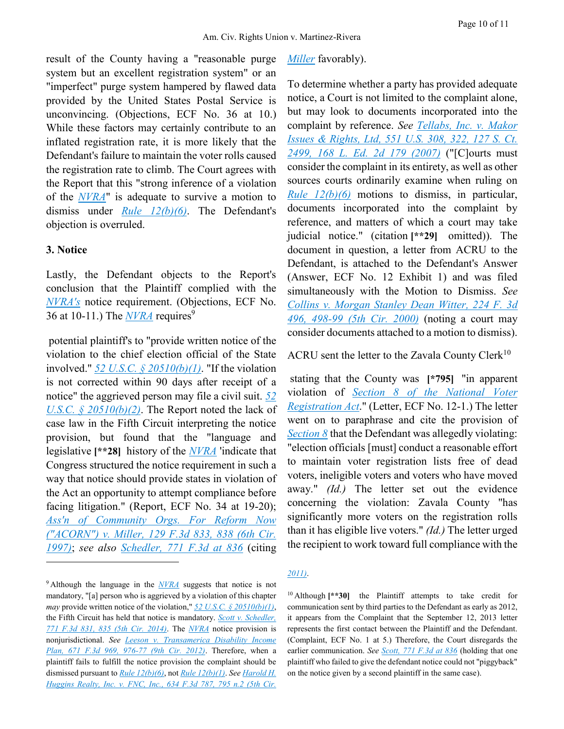result of the County having a "reasonable purge system but an excellent registration system" or an "imperfect" purge system hampered by flawed data provided by the United States Postal Service is unconvincing. (Objections, ECF No. 36 at 10.) While these factors may certainly contribute to an inflated registration rate, it is more likely that the Defendant's failure to maintain the voter rolls caused the registration rate to climb. The Court agrees with the Report that this "strong inference of a violation of the *[NVRA](https://advance.lexis.com/api/document?collection=statutes-legislation&id=urn:contentItem:4YF7-GHR1-NRF4-43YP-00000-00&context=)*" is adequate to survive a motion to dismiss under *[Rule 12\(b\)\(6\)](https://advance.lexis.com/api/document?collection=statutes-legislation&id=urn:contentItem:5GYC-1WP1-6N19-F0YW-00000-00&context=)*. The Defendant's objection is overruled.

#### **3. Notice**

 $\overline{a}$ 

Lastly, the Defendant objects to the Report's conclusion that the Plaintiff complied with the *[NVRA's](https://advance.lexis.com/api/document?collection=statutes-legislation&id=urn:contentItem:4YF7-GHR1-NRF4-43YP-00000-00&context=)* notice requirement. (Objections, ECF No. 36 at 10-11.) The *[NVRA](https://advance.lexis.com/api/document?collection=statutes-legislation&id=urn:contentItem:4YF7-GHR1-NRF4-43YP-00000-00&context=)* requires<sup>9</sup>

potential plaintiff's to "provide written notice of the violation to the chief election official of the State involved." *[52 U.S.C. § 20510\(b\)\(1\)](https://advance.lexis.com/api/document?collection=statutes-legislation&id=urn:contentItem:5D3N-F741-NRF4-400B-00000-00&context=)*. "If the violation is not corrected within 90 days after receipt of a notice" the aggrieved person may file a civil suit. *[52](https://advance.lexis.com/api/document?collection=statutes-legislation&id=urn:contentItem:5D3N-F741-NRF4-400B-00000-00&context=)  [U.S.C. § 20510\(b\)\(2\)](https://advance.lexis.com/api/document?collection=statutes-legislation&id=urn:contentItem:5D3N-F741-NRF4-400B-00000-00&context=)*. The Report noted the lack of case law in the Fifth Circuit interpreting the notice provision, but found that the "language and legislative **[\*\*28]** history of the *[NVRA](https://advance.lexis.com/api/document?collection=statutes-legislation&id=urn:contentItem:4YF7-GHR1-NRF4-43YP-00000-00&context=)* 'indicate that Congress structured the notice requirement in such a way that notice should provide states in violation of the Act an opportunity to attempt compliance before facing litigation." (Report, ECF No. 34 at 19-20); *[Ass'n of Community Orgs. For Reform Now](https://advance.lexis.com/api/document?collection=cases&id=urn:contentItem:3S2J-8P10-00B1-D17C-00000-00&context=)  [\("ACORN"\) v. Miller, 129 F.3d 833, 838 \(6th Cir.](https://advance.lexis.com/api/document?collection=cases&id=urn:contentItem:3S2J-8P10-00B1-D17C-00000-00&context=)  [1997\)](https://advance.lexis.com/api/document?collection=cases&id=urn:contentItem:3S2J-8P10-00B1-D17C-00000-00&context=)*; *see also [Schedler, 771 F.3d at 836](https://advance.lexis.com/api/document?collection=cases&id=urn:contentItem:5DHX-5V41-F04K-N20M-00000-00&context=)* (citing

#### *[Miller](https://advance.lexis.com/api/document?collection=cases&id=urn:contentItem:3S2J-8P10-00B1-D17C-00000-00&context=)* favorably).

To determine whether a party has provided adequate notice, a Court is not limited to the complaint alone, but may look to documents incorporated into the complaint by reference. *See [Tellabs, Inc. v. Makor](https://advance.lexis.com/api/document?collection=cases&id=urn:contentItem:4P18-B380-004C-002V-00000-00&context=)  [Issues & Rights, Ltd, 551](https://advance.lexis.com/api/document?collection=cases&id=urn:contentItem:4P18-B380-004C-002V-00000-00&context=) [U.S. 308, 322, 127 S. Ct.](https://advance.lexis.com/api/document?collection=cases&id=urn:contentItem:4P18-B380-004C-002V-00000-00&context=)  [2499, 168 L. Ed. 2d 179 \(2007\)](https://advance.lexis.com/api/document?collection=cases&id=urn:contentItem:4P18-B380-004C-002V-00000-00&context=)* ("[C]ourts must consider the complaint in its entirety, as well as other sources courts ordinarily examine when ruling on *[Rule 12\(b\)\(6\)](https://advance.lexis.com/api/document?collection=statutes-legislation&id=urn:contentItem:5GYC-1WP1-6N19-F0YW-00000-00&context=)* motions to dismiss, in particular, documents incorporated into the complaint by reference, and matters of which a court may take judicial notice." (citation **[\*\*29]** omitted)). The document in question, a letter from ACRU to the Defendant, is attached to the Defendant's Answer (Answer, ECF No. 12 Exhibit 1) and was filed simultaneously with the Motion to Dismiss. *See [Collins v. Morgan Stanley Dean Witter, 224 F. 3d](https://advance.lexis.com/api/document?collection=cases&id=urn:contentItem:413C-XS20-0038-X50H-00000-00&context=)  [496, 498-99 \(5th Cir. 2000\)](https://advance.lexis.com/api/document?collection=cases&id=urn:contentItem:413C-XS20-0038-X50H-00000-00&context=)* (noting a court may consider documents attached to a motion to dismiss).

#### ACRU sent the letter to the Zavala County Clerk<sup>10</sup>

stating that the County was **[\*795]** "in apparent violation of *[Section 8 of the National Voter](https://advance.lexis.com/api/document?collection=statutes-legislation&id=urn:contentItem:4YF7-GHR1-NRF4-43YP-00000-00&context=)  [Registration Act](https://advance.lexis.com/api/document?collection=statutes-legislation&id=urn:contentItem:4YF7-GHR1-NRF4-43YP-00000-00&context=)*." (Letter, ECF No. 12-1.) The letter went on to paraphrase and cite the provision of *[Section 8](https://advance.lexis.com/api/document?collection=statutes-legislation&id=urn:contentItem:5D3N-F731-NRF4-4007-00000-00&context=)* that the Defendant was allegedly violating: "election officials [must] conduct a reasonable effort to maintain voter registration lists free of dead voters, ineligible voters and voters who have moved away." *(Id.)* The letter set out the evidence concerning the violation: Zavala County "has significantly more voters on the registration rolls than it has eligible live voters." *(Id.)* The letter urged the recipient to work toward full compliance with the

#### *[2011\)](https://advance.lexis.com/api/document?collection=cases&id=urn:contentItem:527Y-21W1-JCNH-Y018-00000-00&context=)*.

<sup>10</sup> Although **[\*\*30]** the Plaintiff attempts to take credit for communication sent by third parties to the Defendant as early as 2012, it appears from the Complaint that the September 12, 2013 letter represents the first contact between the Plaintiff and the Defendant. (Complaint, ECF No. 1 at 5.) Therefore, the Court disregards the earlier communication. *See [Scott, 771 F.3d at 836](https://advance.lexis.com/api/document?collection=cases&id=urn:contentItem:5DHX-5V41-F04K-N20M-00000-00&context=)* (holding that one plaintiff who failed to give the defendant notice could not "piggyback" on the notice given by a second plaintiff in the same case).

<sup>9</sup> Although the language in the *[NVRA](https://advance.lexis.com/api/document?collection=statutes-legislation&id=urn:contentItem:4YF7-GHR1-NRF4-43YP-00000-00&context=)* suggests that notice is not mandatory, "[a] person who is aggrieved by a violation of this chapter *may* provide written notice of the violation," *[52 U.S.C. § 20510\(b\)\(1\)](https://advance.lexis.com/api/document?collection=statutes-legislation&id=urn:contentItem:5D3N-F741-NRF4-400B-00000-00&context=)*, the Fifth Circuit has held that notice is mandatory. *[Scott v. Schedler,](https://advance.lexis.com/api/document?collection=cases&id=urn:contentItem:5DHX-5V41-F04K-N20M-00000-00&context=)  [771 F.3d 831, 835 \(5th Cir. 2014\)](https://advance.lexis.com/api/document?collection=cases&id=urn:contentItem:5DHX-5V41-F04K-N20M-00000-00&context=)*. The *[NVRA](https://advance.lexis.com/api/document?collection=statutes-legislation&id=urn:contentItem:4YF7-GHR1-NRF4-43YP-00000-00&context=)* notice provision is nonjurisdictional. *See [Leeson v. Transamerica Disability Income](https://advance.lexis.com/api/document?collection=cases&id=urn:contentItem:54SX-KDH1-F04K-V08S-00000-00&context=)  [Plan, 671 F.3d 969, 976-77 \(9th Cir. 2012\)](https://advance.lexis.com/api/document?collection=cases&id=urn:contentItem:54SX-KDH1-F04K-V08S-00000-00&context=)*. Therefore, when a plaintiff fails to fulfill the notice provision the complaint should be dismissed pursuant to *[Rule 12\(b\)\(6\)](https://advance.lexis.com/api/document?collection=statutes-legislation&id=urn:contentItem:5GYC-1WP1-6N19-F0YW-00000-00&context=)*, not *[Rule 12\(b\)\(1\)](https://advance.lexis.com/api/document?collection=statutes-legislation&id=urn:contentItem:5GYC-1WP1-6N19-F0YW-00000-00&context=)*. *Se[e Harold H.](https://advance.lexis.com/api/document?collection=cases&id=urn:contentItem:527Y-21W1-JCNH-Y018-00000-00&context=)  [Huggins Realty, Inc. v. FNC, Inc., 634 F.3d 787, 795 n.2 \(5th Cir.](https://advance.lexis.com/api/document?collection=cases&id=urn:contentItem:527Y-21W1-JCNH-Y018-00000-00&context=)*